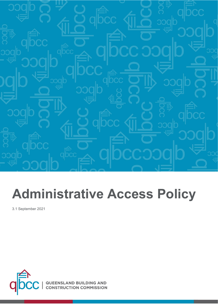

# **Administrative Access Policy**

3.1 September 2021

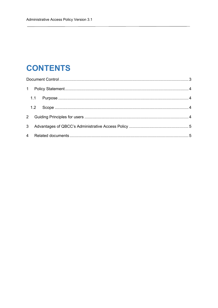# **CONTENTS**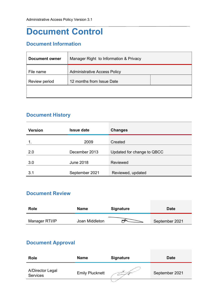# <span id="page-2-0"></span>**Document Control**

## **Document Information**

| Document owner | Manager Right to Information & Privacy |  |  |
|----------------|----------------------------------------|--|--|
| File name      | <b>Administrative Access Policy</b>    |  |  |
| Review period  | 12 months from Issue Date              |  |  |
|                |                                        |  |  |

### **Document History**

| <b>Version</b> | <b>Issue date</b> | <b>Changes</b>             |
|----------------|-------------------|----------------------------|
|                | 2009              | Created                    |
| 2.0            | December 2013     | Updated for change to QBCC |
| 3.0            | June 2018         | Reviewed                   |
| 3.1            | September 2021    | Reviewed, updated          |

#### **Document Review**

| Role           | <b>Name</b>    | Signature | <b>Date</b>    |
|----------------|----------------|-----------|----------------|
| Manager RTI/IP | Joan Middleton |           | September 2021 |

## **Document Approval**

| <b>Role</b>                         | <b>Name</b>            | <b>Signature</b> | <b>Date</b>    |
|-------------------------------------|------------------------|------------------|----------------|
| A/Director Legal<br><b>Services</b> | <b>Emily Plucknett</b> |                  | September 2021 |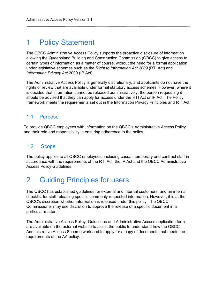## <span id="page-3-0"></span>1 Policy Statement

The QBCC Administrative Access Policy supports the proactive disclosure of information allowing the Queensland Building and Construction Commission (QBCC) to give access to certain types of information as a matter of course, without the need for a formal application under legislative schemes such as the *Right to Information Act 2009* (RTI Act) and *Information Privacy Act* 2009 (IP Act).

The Administrative Access Policy is generally discretionary, and applicants do not have the rights of review that are available under formal statutory access schemes. However, where it is decided that information cannot be released administratively, the person requesting it should be advised that they can apply for access under the RTI Act or IP Act. The Policy framework meets the requirements set out in the Information Privacy Principles and RTI Act.

#### <span id="page-3-1"></span>1.1 Purpose

To provide QBCC employees with information on the QBCC's Administrative Access Policy and their role and responsibility in ensuring adherence to the policy.

#### <span id="page-3-2"></span>1.2 Scope

The policy applies to all QBCC employees, including casual, temporary and contract staff in accordance with the requirements of the RTI Act, the IP Act and the QBCC Administrative Access Policy Guidelines.

## <span id="page-3-3"></span>2 Guiding Principles for users

The QBCC has established guidelines for external and internal customers, and an internal checklist for staff releasing specific commonly requested information. However, it is at the QBCC's discretion whether information is released under this policy. The QBCC Commissioner may use discretion to approve the release of a specific document in a particular matter.

The Administrative Access Policy, Guidelines and Administrative Access application form are available on the external website to assist the public to understand how the QBCC Administrative Access Scheme work and to apply for a copy of documents that meets the requirements of the AA policy.